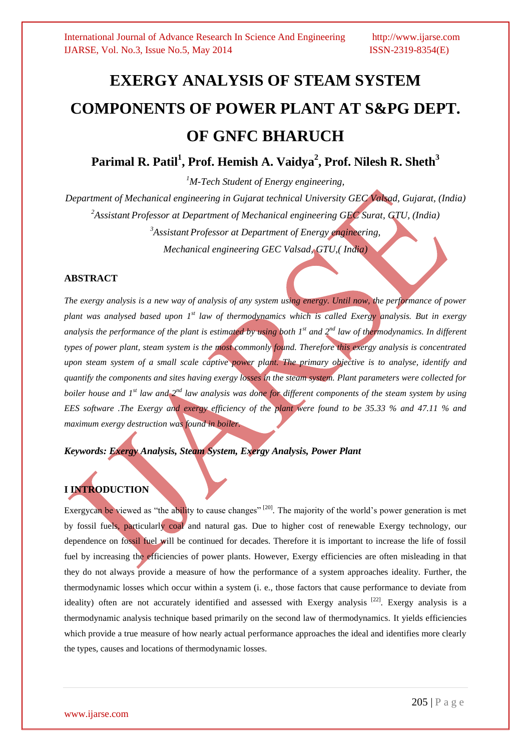# **EXERGY ANALYSIS OF STEAM SYSTEM COMPONENTS OF POWER PLANT AT S&PG DEPT. OF GNFC BHARUCH**

**Parimal R. Patil<sup>1</sup> , Prof. Hemish A. Vaidya<sup>2</sup> , Prof. Nilesh R. Sheth<sup>3</sup>**

*<sup>1</sup>M-Tech Student of Energy engineering,* 

*Department of Mechanical engineering in Gujarat technical University GEC Valsad, Gujarat, (India) <sup>2</sup>Assistant Professor at Department of Mechanical engineering GEC Surat, GTU, (India) <sup>3</sup>Assistant Professor at Department of Energy engineering, Mechanical engineering GEC Valsad, GTU,( India)*

### **ABSTRACT**

*The exergy analysis is a new way of analysis of any system using energy. Until now, the performance of power plant was analysed based upon 1st law of thermodynamics which is called Exergy analysis. But in exergy analysis the performance of the plant is estimated by using both 1st and 2nd law of thermodynamics. In different types of power plant, steam system is the most commonly found. Therefore this exergy analysis is concentrated upon steam system of a small scale captive power plant. The primary objective is to analyse, identify and quantify the components and sites having exergy losses in the steam system. Plant parameters were collected for boiler house and 1st law and 2nd law analysis was done for different components of the steam system by using EES software .The Exergy and exergy efficiency of the plant were found to be 35.33 % and 47.11 % and maximum exergy destruction was found in boiler.* 

*Keywords: Exergy Analysis, Steam System, Exergy Analysis, Power Plant* 

## **I INTRODUCTION**

Exergycan be viewed as "the ability to cause changes"<sup>[20]</sup>. The majority of the world's power generation is met by fossil fuels, particularly coal and natural gas. Due to higher cost of renewable Exergy technology, our dependence on fossil fuel will be continued for decades. Therefore it is important to increase the life of fossil fuel by increasing the efficiencies of power plants. However, Exergy efficiencies are often misleading in that they do not always provide a measure of how the performance of a system approaches ideality. Further, the thermodynamic losses which occur within a system (i. e., those factors that cause performance to deviate from ideality) often are not accurately identified and assessed with Exergy analysis<sup>[22]</sup>. Exergy analysis is a thermodynamic analysis technique based primarily on the second law of thermodynamics. It yields efficiencies which provide a true measure of how nearly actual performance approaches the ideal and identifies more clearly the types, causes and locations of thermodynamic losses.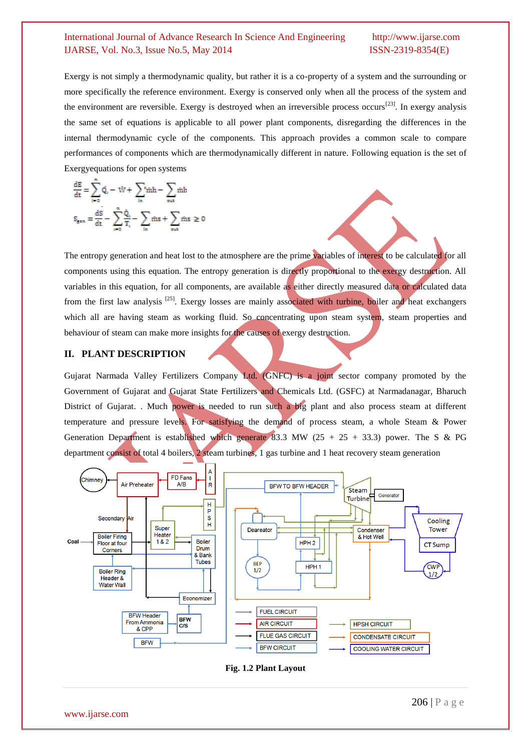Exergy is not simply a thermodynamic quality, but rather it is a co-property of a system and the surrounding or more specifically the reference environment. Exergy is conserved only when all the process of the system and the environment are reversible. Exergy is destroyed when an irreversible process occurs<sup>[23]</sup>. In exergy analysis the same set of equations is applicable to all power plant components, disregarding the differences in the internal thermodynamic cycle of the components. This approach provides a common scale to compare performances of components which are thermodynamically different in nature. Following equation is the set of Exergyequations for open systems

$$
\frac{dE}{dt} = \sum_{i=0}^{n} \dot{Q}_i - \dot{W} + \sum_{in} {}^{s} \dot{m}h - \sum_{out} \dot{m}h
$$

$$
S_{gen} = \frac{dS}{dt} - \sum_{i=0}^{n} \frac{\dot{Q}_i}{T_i} - \sum_{in} \dot{m}s + \sum_{out} \dot{m}s \ge 0
$$

The entropy generation and heat lost to the atmosphere are the prime variables of interest to be calculated for all components using this equation. The entropy generation is directly proportional to the exergy destruction. All variables in this equation, for all components, are available as either directly measured data or calculated data from the first law analysis<sup>[25]</sup>. Exergy losses are mainly associated with turbine, boiler and heat exchangers which all are having steam as working fluid. So concentrating upon steam system, steam properties and behaviour of steam can make more insights for the causes of exergy destruction.

### **II. PLANT DESCRIPTION**

Gujarat Narmada Valley Fertilizers Company Ltd. (GNFC) is a joint sector company promoted by the Government of Gujarat and Gujarat State Fertilizers and Chemicals Ltd. (GSFC) at Narmadanagar, Bharuch District of Gujarat. . Much power is needed to run such a big plant and also process steam at different temperature and pressure levels. For satisfying the demand of process steam, a whole Steam & Power Generation Department is established which generate 83.3 MW (25 + 25 + 33.3) power. The S & PG department consist of total 4 boilers, 2 steam turbines, 1 gas turbine and 1 heat recovery steam generation



**Fig. 1.2 Plant Layout**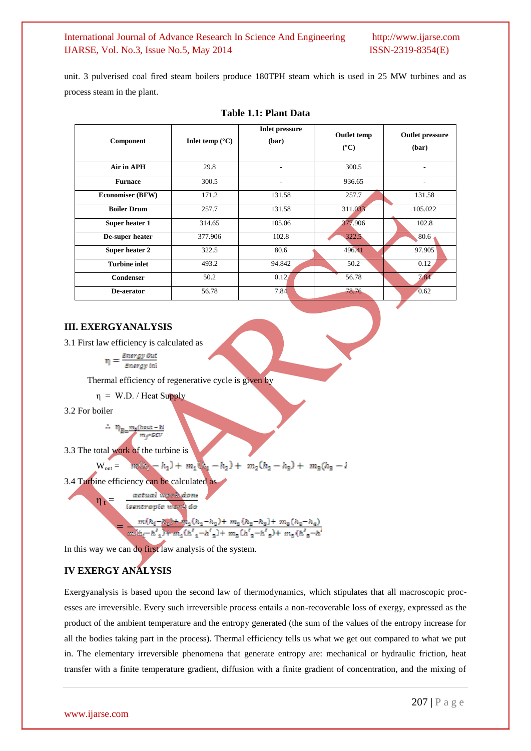unit. 3 pulverised coal fired steam boilers produce 180TPH steam which is used in 25 MW turbines and as process steam in the plant.

| <b>Component</b>        | Inlet temp $(^{\circ}C)$ | <b>Inlet pressure</b><br>(bar) | <b>Outlet temp</b><br>$(^{\circ}C)$ | <b>Outlet pressure</b><br>(bar) |
|-------------------------|--------------------------|--------------------------------|-------------------------------------|---------------------------------|
| Air in APH              | 29.8                     | $\overline{\phantom{a}}$       | 300.5                               | ۰                               |
| <b>Furnace</b>          | 300.5                    | $\qquad \qquad \blacksquare$   | 936.65                              | ۰                               |
| <b>Economiser (BFW)</b> | 171.2                    | 131.58                         | 257.7                               | 131.58                          |
| <b>Boiler Drum</b>      | 257.7                    | 131.58                         | 311.033                             | 105.022                         |
| Super heater 1          | 314.65                   | 105.06                         | 377.906                             | 102.8                           |
| De-super heater         | 377.906                  | 102.8                          | 322.5                               | 80.6                            |
| Super heater 2          | 322.5                    | 80.6                           | 496.41                              | 97.905                          |
| <b>Turbine inlet</b>    | 493.2                    | 94.842                         | 50.2                                | 0.12                            |
| Condenser               | 50.2                     | 0.12                           | 56.78                               | 7.84                            |
| De-aerator              | 56.78                    | 7.84                           | 78.76                               | 0.62                            |

### **Table 1.1: Plant Data**

### **III. EXERGYANALYSIS**

3.1 First law efficiency is calculated as<br> $n = \frac{\text{Energy Out}}{\text{Out}}$ 

Energy inl

Thermal efficiency of regenerative cycle is given by

 $\eta = W.D.$  / Heat Supply

3.2 For boiler

### $\sim \eta_{\rm p} \mu_{\rm s}$ (hout – hi m ALCOV

3.3 The total work of the turbine is

 $m_1(h_1-h_1)+m_1(h_4-h_2)+m_2(h_2-h_3)+m_3(h_3-l_4)$  $W_{\text{out}} =$ 

3.4 Turbine efficiency can be calculated as

actual work done  $\eta_t =$ 

isentropic work do

$$
\frac{m(h_1-h_2)+m_1(h_1-h_2)+m_2(h_2-h_3)+m_3(h_3-h_4)}{\sqrt{h_1-h_1} (h_1'+h_1')+m_1(h_1'+h_2')+m_2(h_1'-h_3')+m_3(h_1'+h_1)}
$$

In this way we can do first law analysis of the system.

### **IV EXERGY ANALYSIS**

Exergyanalysis is based upon the second law of thermodynamics, which stipulates that all macroscopic processes are irreversible. Every such irreversible process entails a non-recoverable loss of exergy, expressed as the product of the ambient temperature and the entropy generated (the sum of the values of the entropy increase for all the bodies taking part in the process). Thermal efficiency tells us what we get out compared to what we put in. The elementary irreversible phenomena that generate entropy are: mechanical or hydraulic friction, heat transfer with a finite temperature gradient, diffusion with a finite gradient of concentration, and the mixing of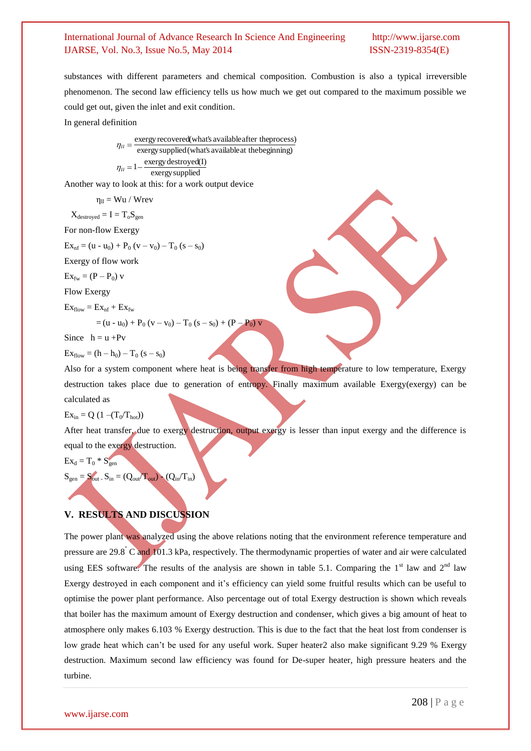substances with different parameters and chemical composition. Combustion is also a typical irreversible phenomenon. The second law efficiency tells us how much we get out compared to the maximum possible we could get out, given the inlet and exit condition.

In general definition

$$
\eta_{II} = \frac{\text{exergy recovered(what's available after the process)}}{\text{exergy supplied(what's available at the beginning)}}
$$

$$
\eta_{II} = 1 - \frac{\text{exergy destroyed(I)}}{\text{exergy supplied}}
$$

Another way to look at this: for a work output device

$$
\eta_{ll} = Wu \;/ \; Wrev
$$

 $X_{\text{destroyed}} = I = T_o S_{\text{gen}}$ 

For non-flow Exergy

 $Ex_{nf} = (u - u_0) + P_0 (v - v_0) - T_0 (s - s_0)$ 

Exergy of flow work

 $Ex_{fw} = (P - P_0)$  v

Flow Exergy

 $Ex_{flow} = Ex_{nf} + Ex_{fw}$ 

$$
= (u - u0) + P0 (v - v0) - T0 (s - s0) + (P - P0) v
$$

Since  $h = u + Pv$ 

 $Ex_{flow} = (h - h_0) - T_0 (s - s_0)$ 

Also for a system component where heat is being transfer from high temperature to low temperature, Exergy destruction takes place due to generation of entropy. Finally maximum available Exergy(exergy) can be calculated as

 $Ex_{in} = Q (1 - (T_0/T_{hot}))$ 

After heat transfer, due to exergy destruction, output exergy is lesser than input exergy and the difference is equal to the exergy destruction.

$$
Ex_d = T_0 * S_{gen}
$$

$$
\mathbf{S}_{\text{gen}} = \mathbf{S}_{\text{out}} \cdot \mathbf{S}_{\text{in}} = (\mathbf{Q}_{\text{out}} / \mathbf{T}_{\text{out}}) - (\mathbf{Q}_{\text{in}} / \mathbf{T}_{\text{in}})
$$

### **V. RESULTS AND DISCUSSION**

The power plant was analyzed using the above relations noting that the environment reference temperature and pressure are 29.8° C and 101.3 kPa, respectively. The thermodynamic properties of water and air were calculated using EES software. The results of the analysis are shown in table 5.1. Comparing the  $1<sup>st</sup>$  law and  $2<sup>nd</sup>$  law Exergy destroyed in each component and it's efficiency can yield some fruitful results which can be useful to optimise the power plant performance. Also percentage out of total Exergy destruction is shown which reveals that boiler has the maximum amount of Exergy destruction and condenser, which gives a big amount of heat to atmosphere only makes 6.103 % Exergy destruction. This is due to the fact that the heat lost from condenser is low grade heat which can't be used for any useful work. Super heater2 also make significant 9.29 % Exergy destruction. Maximum second law efficiency was found for De-super heater, high pressure heaters and the turbine.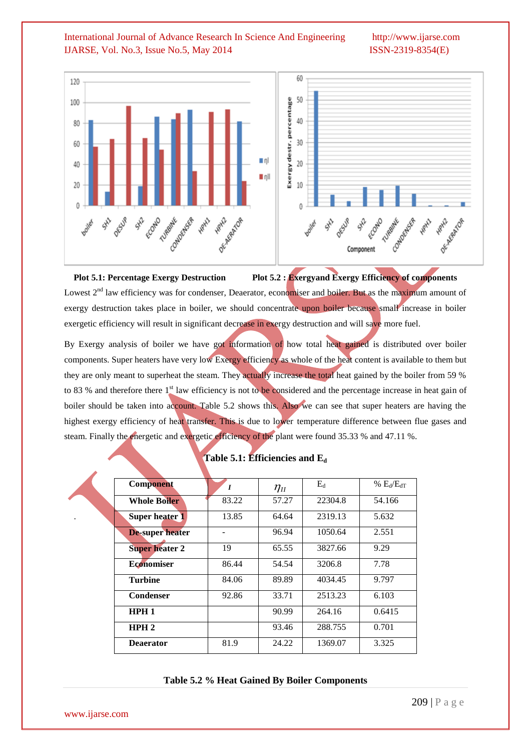

**Plot 5.1: Percentage Exergy Destruction Plot 5.2 : Exergyand Exergy Efficiency of components** Lowest  $2<sup>nd</sup>$  law efficiency was for condenser, Deaerator, economiser and boiler. But as the maximum amount of exergy destruction takes place in boiler, we should concentrate upon boiler because small increase in boiler exergetic efficiency will result in significant decrease in exergy destruction and will save more fuel.

By Exergy analysis of boiler we have got information of how total heat gained is distributed over boiler components. Super heaters have very low Exergy efficiency as whole of the heat content is available to them but they are only meant to superheat the steam. They actually increase the total heat gained by the boiler from 59 % to 83 % and therefore there 1<sup>st</sup> law efficiency is not to be considered and the percentage increase in heat gain of boiler should be taken into account. Table 5.2 shows this. Also we can see that super heaters are having the highest exergy efficiency of heat transfer. This is due to lower temperature difference between flue gases and steam. Finally the energetic and exergetic efficiency of the plant were found 35.33 % and 47.11 %.

| <b>Component</b>       | $\boldsymbol{I}$ | $\eta_{\scriptscriptstyle II}$ | $E_d$   | % $E_d/E_{dT}$ |
|------------------------|------------------|--------------------------------|---------|----------------|
| <b>Whole Boiler</b>    | 83.22            | 57.27                          | 22304.8 | 54.166         |
| Super heater 1         | 13.85            | 64.64                          | 2319.13 | 5.632          |
| <b>De-super heater</b> |                  | 96.94                          | 1050.64 | 2.551          |
| <b>Super heater 2</b>  | 19               | 65.55                          | 3827.66 | 9.29           |
| <b>Economiser</b>      | 86.44            | 54.54                          | 3206.8  | 7.78           |
| <b>Turbine</b>         | 84.06            | 89.89                          | 4034.45 | 9.797          |
| Condenser              | 92.86            | 33.71                          | 2513.23 | 6.103          |
| HPH1                   |                  | 90.99                          | 264.16  | 0.6415         |
| HPH2                   |                  | 93.46                          | 288.755 | 0.701          |
| <b>Deaerator</b>       | 81.9             | 24.22                          | 1369.07 | 3.325          |

### **Table 5.1: Efficiencies and E<sup>d</sup>**

### **Table 5.2 % Heat Gained By Boiler Components**

www.ijarse.com

.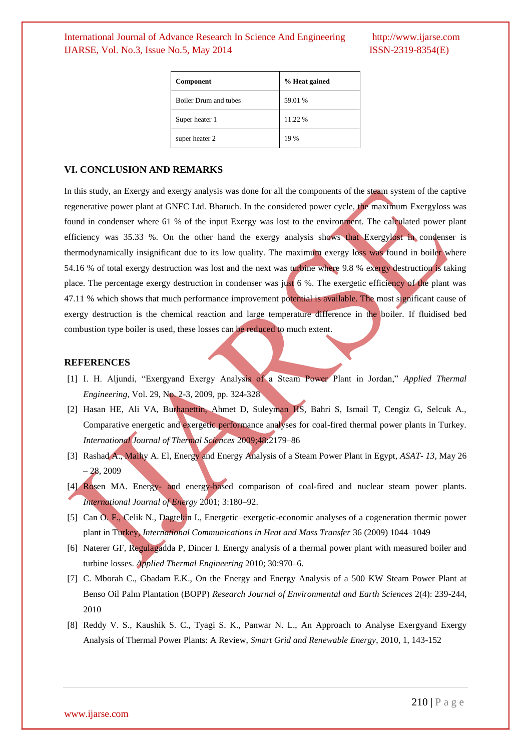| Component                    | % Heat gained |  |
|------------------------------|---------------|--|
| <b>Boiler Drum and tubes</b> | 59.01 %       |  |
| Super heater 1               | 11.22 %       |  |
| super heater 2               | 19 %          |  |

### **VI. CONCLUSION AND REMARKS**

In this study, an Exergy and exergy analysis was done for all the components of the steam system of the captive regenerative power plant at GNFC Ltd. Bharuch. In the considered power cycle, the maximum Exergyloss was found in condenser where 61 % of the input Exergy was lost to the environment. The calculated power plant efficiency was 35.33 %. On the other hand the exergy analysis shows that Exergylost in condenser is thermodynamically insignificant due to its low quality. The maximum exergy loss was found in boiler where 54.16 % of total exergy destruction was lost and the next was turbine where 9.8 % exergy destruction is taking place. The percentage exergy destruction in condenser was just 6 %. The exergetic efficiency of the plant was 47.11 % which shows that much performance improvement potential is available. The most significant cause of exergy destruction is the chemical reaction and large temperature difference in the boiler. If fluidised bed combustion type boiler is used, these losses can be reduced to much extent.

### **REFERENCES**

- [1] I. H. Aljundi, "Exergyand Exergy Analysis of a Steam Power Plant in Jordan," *Applied Thermal Engineering*, Vol. 29, No. 2-3, 2009, pp. 324-328
- [2] Hasan HE, Ali VA, Burhanettin, Ahmet D, Suleyman HS, Bahri S, Ismail T, Cengiz G, Selcuk A., Comparative energetic and exergetic performance analyses for coal-fired thermal power plants in Turkey. *International Journal of Thermal Sciences* 2009;48:2179–86
- [3] Rashad A., Maihy A. El, Energy and Energy Analysis of a Steam Power Plant in Egypt, *ASAT- 13,* May 26  $-28, 2009$
- [4] Rosen MA. Energy- and energy-based comparison of coal-fired and nuclear steam power plants*. International Journal of Energy* 2001; 3:180–92.
- [5] Can O. F., Celik N., Dagtekin I., Energetic–exergetic-economic analyses of a cogeneration thermic power plant in Turkey, *International Communications in Heat and Mass Transfer* 36 (2009) 1044–1049
- [6] Naterer GF, Regulagadda P, Dincer I. Energy analysis of a thermal power plant with measured boiler and turbine losses. *Applied Thermal Engineering* 2010; 30:970–6.
- [7] C. Mborah C., Gbadam E.K., On the Energy and Energy Analysis of a 500 KW Steam Power Plant at Benso Oil Palm Plantation (BOPP) *Research Journal of Environmental and Earth Sciences* 2(4): 239-244, 2010
- [8] Reddy V. S., Kaushik S. C., Tyagi S. K., Panwar N. L., An Approach to Analyse Exergyand Exergy Analysis of Thermal Power Plants: A Review, *Smart Grid and Renewable Energy*, 2010, 1, 143-152